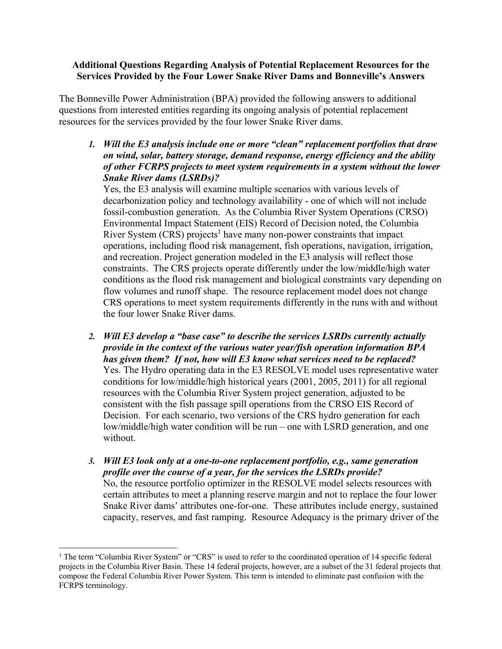### **Additional Questions Regarding Analysis of Potential Replacement Resources for the Services Provided by the Four Lower Snake River Dams and Bonneville's Answers**

The Bonneville Power Administration (BPA) provided the following answers to additional questions from interested entities regarding its ongoing analysis of potential replacement resources for the services provided by the four lower Snake River dams.

# *1. Will the E3 analysis include one or more "clean" replacement portfolios that draw on wind, solar, battery storage, demand response, energy efficiency and the ability of other FCRPS projects to meet system requirements in a system without the lower Snake River dams (LSRDs)?*

Yes, the E3 analysis will examine multiple scenarios with various levels of decarbonization policy and technology availability - one of which will not include fossil-combustion generation. As the Columbia River System Operations (CRSO) Environmental Impact Statement (EIS) Record of Decision noted, the Columbia River System (CRS) projects<sup>1</sup> have many non-power constraints that impact operations, including flood risk management, fish operations, navigation, irrigation, and recreation. Project generation modeled in the E3 analysis will reflect those constraints. The CRS projects operate differently under the low/middle/high water conditions as the flood risk management and biological constraints vary depending on flow volumes and runoff shape. The resource replacement model does not change CRS operations to meet system requirements differently in the runs with and without the four lower Snake River dams.

- *2. Will E3 develop a "base case" to describe the services LSRDs currently actually provide in the context of the various water year/fish operation information BPA has given them? If not, how will E3 know what services need to be replaced?*  Yes. The Hydro operating data in the E3 RESOLVE model uses representative water conditions for low/middle/high historical years (2001, 2005, 2011) for all regional resources with the Columbia River System project generation, adjusted to be consistent with the fish passage spill operations from the CRSO EIS Record of Decision. For each scenario, two versions of the CRS hydro generation for each low/middle/high water condition will be run – one with LSRD generation, and one without.
- *3. Will E3 look only at a one-to-one replacement portfolio, e.g., same generation profile over the course of a year, for the services the LSRDs provide?*  No, the resource portfolio optimizer in the RESOLVE model selects resources with certain attributes to meet a planning reserve margin and not to replace the four lower Snake River dams' attributes one-for-one. These attributes include energy, sustained capacity, reserves, and fast ramping. Resource Adequacy is the primary driver of the

<sup>&</sup>lt;sup>1</sup> The term "Columbia River System" or "CRS" is used to refer to the coordinated operation of 14 specific federal projects in the Columbia River Basin. These 14 federal projects, however, are a subset of the 31 federal projects that compose the Federal Columbia River Power System. This term is intended to eliminate past confusion with the FCRPS terminology.